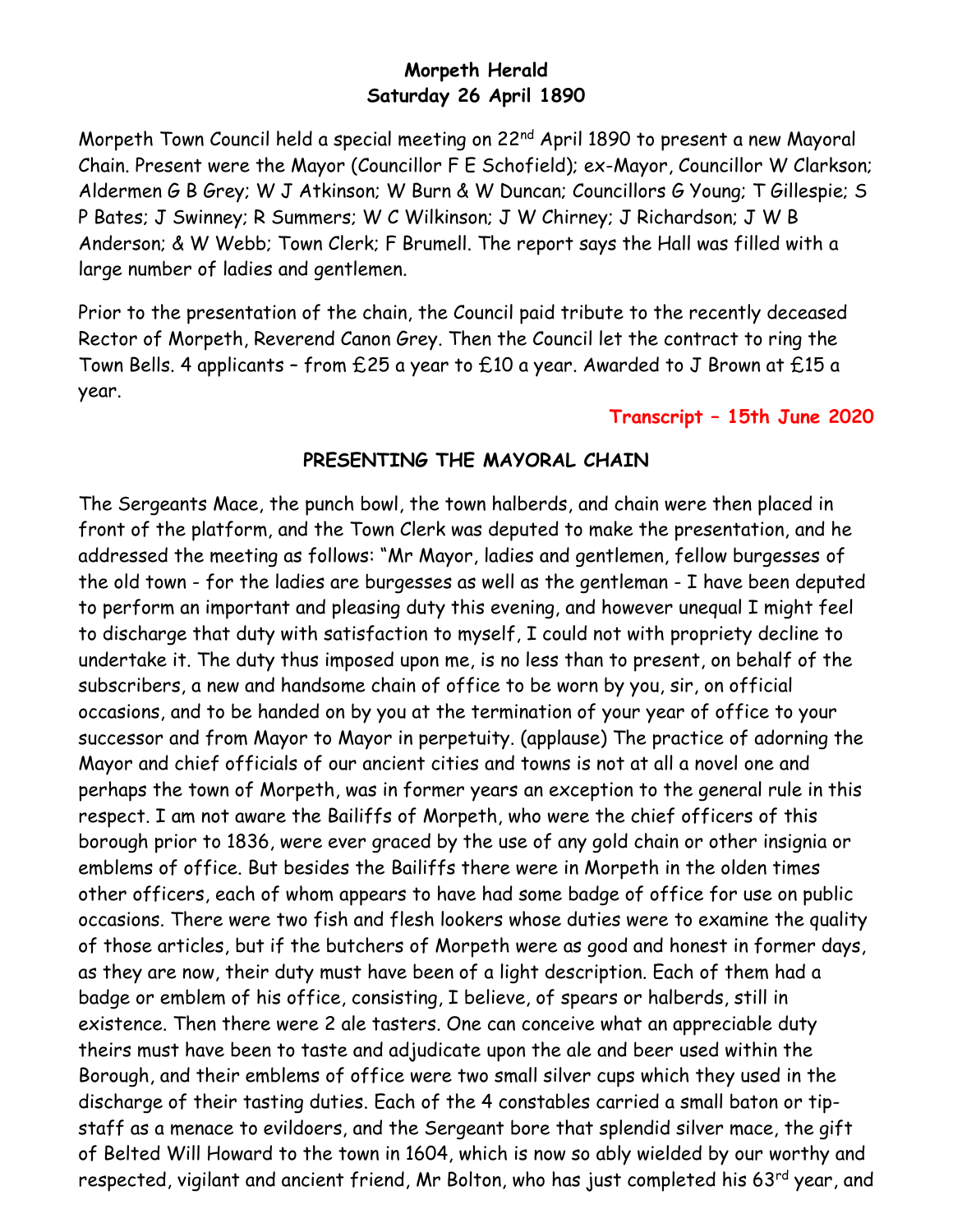## **Morpeth Herald Saturday 26 April 1890**

Morpeth Town Council held a special meeting on 22<sup>nd</sup> April 1890 to present a new Mayoral Chain. Present were the Mayor (Councillor F E Schofield); ex-Mayor, Councillor W Clarkson; Aldermen G B Grey; W J Atkinson; W Burn & W Duncan; Councillors G Young; T Gillespie; S P Bates; J Swinney; R Summers; W C Wilkinson; J W Chirney; J Richardson; J W B Anderson; & W Webb; Town Clerk; F Brumell. The report says the Hall was filled with a large number of ladies and gentlemen.

Prior to the presentation of the chain, the Council paid tribute to the recently deceased Rector of Morpeth, Reverend Canon Grey. Then the Council let the contract to ring the Town Bells. 4 applicants – from £25 a year to £10 a year. Awarded to J Brown at £15 a year.

## **Transcript – 15th June 2020**

## **PRESENTING THE MAYORAL CHAIN**

The Sergeants Mace, the punch bowl, the town halberds, and chain were then placed in front of the platform, and the Town Clerk was deputed to make the presentation, and he addressed the meeting as follows: "Mr Mayor, ladies and gentlemen, fellow burgesses of the old town - for the ladies are burgesses as well as the gentleman - I have been deputed to perform an important and pleasing duty this evening, and however unequal I might feel to discharge that duty with satisfaction to myself, I could not with propriety decline to undertake it. The duty thus imposed upon me, is no less than to present, on behalf of the subscribers, a new and handsome chain of office to be worn by you, sir, on official occasions, and to be handed on by you at the termination of your year of office to your successor and from Mayor to Mayor in perpetuity. (applause) The practice of adorning the Mayor and chief officials of our ancient cities and towns is not at all a novel one and perhaps the town of Morpeth, was in former years an exception to the general rule in this respect. I am not aware the Bailiffs of Morpeth, who were the chief officers of this borough prior to 1836, were ever graced by the use of any gold chain or other insignia or emblems of office. But besides the Bailiffs there were in Morpeth in the olden times other officers, each of whom appears to have had some badge of office for use on public occasions. There were two fish and flesh lookers whose duties were to examine the quality of those articles, but if the butchers of Morpeth were as good and honest in former days, as they are now, their duty must have been of a light description. Each of them had a badge or emblem of his office, consisting, I believe, of spears or halberds, still in existence. Then there were 2 ale tasters. One can conceive what an appreciable duty theirs must have been to taste and adjudicate upon the ale and beer used within the Borough, and their emblems of office were two small silver cups which they used in the discharge of their tasting duties. Each of the 4 constables carried a small baton or tipstaff as a menace to evildoers, and the Sergeant bore that splendid silver mace, the gift of Belted Will Howard to the town in 1604, which is now so ably wielded by our worthy and respected, vigilant and ancient friend, Mr Bolton, who has just completed his 63<sup>rd</sup> year, and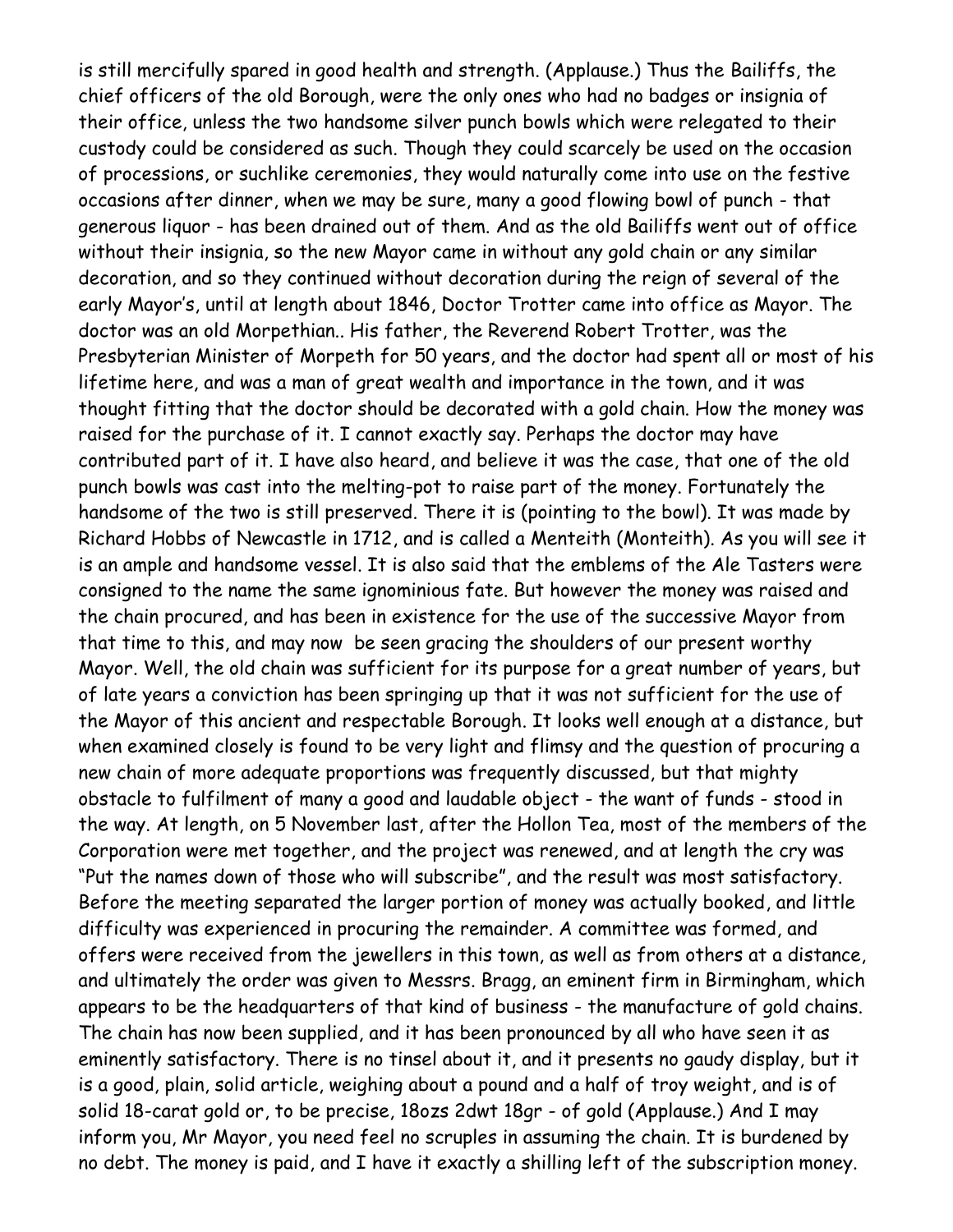is still mercifully spared in good health and strength. (Applause.) Thus the Bailiffs, the chief officers of the old Borough, were the only ones who had no badges or insignia of their office, unless the two handsome silver punch bowls which were relegated to their custody could be considered as such. Though they could scarcely be used on the occasion of processions, or suchlike ceremonies, they would naturally come into use on the festive occasions after dinner, when we may be sure, many a good flowing bowl of punch - that generous liquor - has been drained out of them. And as the old Bailiffs went out of office without their insignia, so the new Mayor came in without any gold chain or any similar decoration, and so they continued without decoration during the reign of several of the early Mayor's, until at length about 1846, Doctor Trotter came into office as Mayor. The doctor was an old Morpethian.. His father, the Reverend Robert Trotter, was the Presbyterian Minister of Morpeth for 50 years, and the doctor had spent all or most of his lifetime here, and was a man of great wealth and importance in the town, and it was thought fitting that the doctor should be decorated with a gold chain. How the money was raised for the purchase of it. I cannot exactly say. Perhaps the doctor may have contributed part of it. I have also heard, and believe it was the case, that one of the old punch bowls was cast into the melting-pot to raise part of the money. Fortunately the handsome of the two is still preserved. There it is (pointing to the bowl). It was made by Richard Hobbs of Newcastle in 1712, and is called a Menteith (Monteith). As you will see it is an ample and handsome vessel. It is also said that the emblems of the Ale Tasters were consigned to the name the same ignominious fate. But however the money was raised and the chain procured, and has been in existence for the use of the successive Mayor from that time to this, and may now be seen gracing the shoulders of our present worthy Mayor. Well, the old chain was sufficient for its purpose for a great number of years, but of late years a conviction has been springing up that it was not sufficient for the use of the Mayor of this ancient and respectable Borough. It looks well enough at a distance, but when examined closely is found to be very light and flimsy and the question of procuring a new chain of more adequate proportions was frequently discussed, but that mighty obstacle to fulfilment of many a good and laudable object - the want of funds - stood in the way. At length, on 5 November last, after the Hollon Tea, most of the members of the Corporation were met together, and the project was renewed, and at length the cry was "Put the names down of those who will subscribe", and the result was most satisfactory. Before the meeting separated the larger portion of money was actually booked, and little difficulty was experienced in procuring the remainder. A committee was formed, and offers were received from the jewellers in this town, as well as from others at a distance, and ultimately the order was given to Messrs. Bragg, an eminent firm in Birmingham, which appears to be the headquarters of that kind of business - the manufacture of gold chains. The chain has now been supplied, and it has been pronounced by all who have seen it as eminently satisfactory. There is no tinsel about it, and it presents no gaudy display, but it is a good, plain, solid article, weighing about a pound and a half of troy weight, and is of solid 18-carat gold or, to be precise, 18ozs 2dwt 18gr - of gold (Applause.) And I may inform you, Mr Mayor, you need feel no scruples in assuming the chain. It is burdened by no debt. The money is paid, and I have it exactly a shilling left of the subscription money.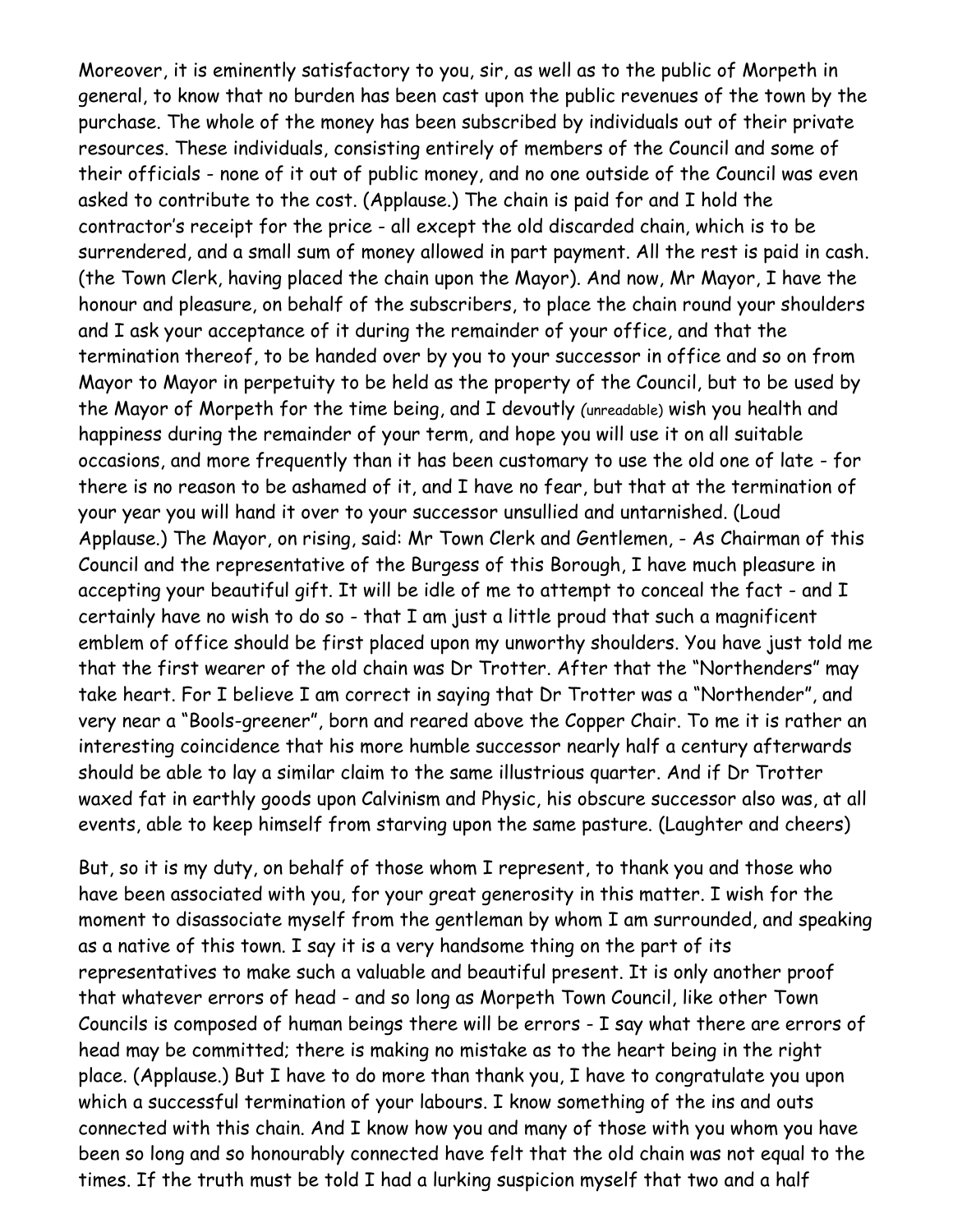Moreover, it is eminently satisfactory to you, sir, as well as to the public of Morpeth in general, to know that no burden has been cast upon the public revenues of the town by the purchase. The whole of the money has been subscribed by individuals out of their private resources. These individuals, consisting entirely of members of the Council and some of their officials - none of it out of public money, and no one outside of the Council was even asked to contribute to the cost. (Applause.) The chain is paid for and I hold the contractor's receipt for the price - all except the old discarded chain, which is to be surrendered, and a small sum of money allowed in part payment. All the rest is paid in cash. (the Town Clerk, having placed the chain upon the Mayor). And now, Mr Mayor, I have the honour and pleasure, on behalf of the subscribers, to place the chain round your shoulders and I ask your acceptance of it during the remainder of your office, and that the termination thereof, to be handed over by you to your successor in office and so on from Mayor to Mayor in perpetuity to be held as the property of the Council, but to be used by the Mayor of Morpeth for the time being, and I devoutly *(*unreadable) wish you health and happiness during the remainder of your term, and hope you will use it on all suitable occasions, and more frequently than it has been customary to use the old one of late - for there is no reason to be ashamed of it, and I have no fear, but that at the termination of your year you will hand it over to your successor unsullied and untarnished. (Loud Applause.) The Mayor, on rising, said: Mr Town Clerk and Gentlemen, - As Chairman of this Council and the representative of the Burgess of this Borough, I have much pleasure in accepting your beautiful gift. It will be idle of me to attempt to conceal the fact - and I certainly have no wish to do so - that I am just a little proud that such a magnificent emblem of office should be first placed upon my unworthy shoulders. You have just told me that the first wearer of the old chain was Dr Trotter. After that the "Northenders" may take heart. For I believe I am correct in saying that Dr Trotter was a "Northender", and very near a "Bools-greener", born and reared above the Copper Chair. To me it is rather an interesting coincidence that his more humble successor nearly half a century afterwards should be able to lay a similar claim to the same illustrious quarter. And if Dr Trotter waxed fat in earthly goods upon Calvinism and Physic, his obscure successor also was, at all events, able to keep himself from starving upon the same pasture. (Laughter and cheers)

But, so it is my duty, on behalf of those whom I represent, to thank you and those who have been associated with you, for your great generosity in this matter. I wish for the moment to disassociate myself from the gentleman by whom I am surrounded, and speaking as a native of this town. I say it is a very handsome thing on the part of its representatives to make such a valuable and beautiful present. It is only another proof that whatever errors of head - and so long as Morpeth Town Council, like other Town Councils is composed of human beings there will be errors - I say what there are errors of head may be committed; there is making no mistake as to the heart being in the right place. (Applause.) But I have to do more than thank you, I have to congratulate you upon which a successful termination of your labours. I know something of the ins and outs connected with this chain. And I know how you and many of those with you whom you have been so long and so honourably connected have felt that the old chain was not equal to the times. If the truth must be told I had a lurking suspicion myself that two and a half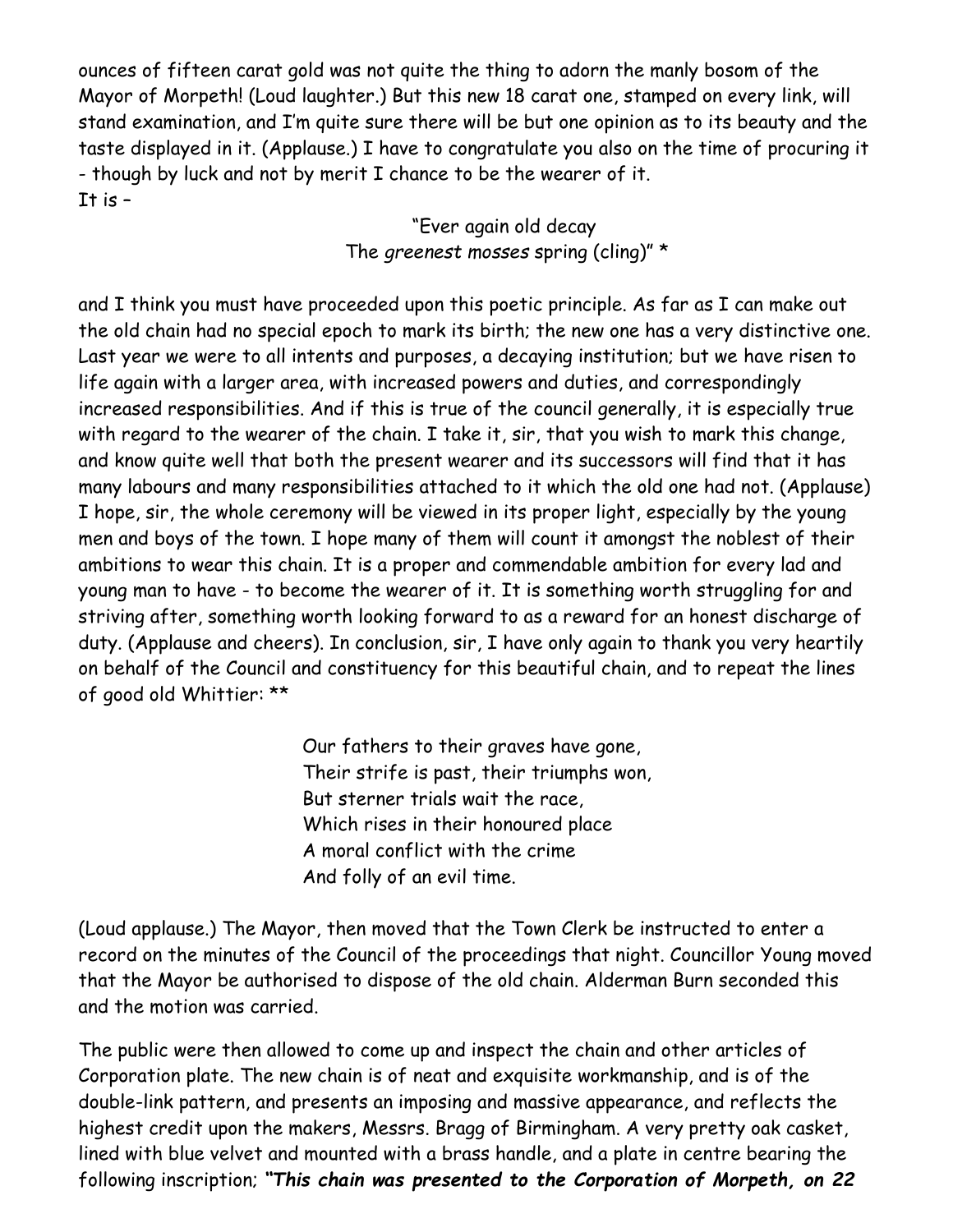ounces of fifteen carat gold was not quite the thing to adorn the manly bosom of the Mayor of Morpeth! (Loud laughter.) But this new 18 carat one, stamped on every link, will stand examination, and I'm quite sure there will be but one opinion as to its beauty and the taste displayed in it. (Applause.) I have to congratulate you also on the time of procuring it - though by luck and not by merit I chance to be the wearer of it. It is  $-$ 

> "Ever again old decay The *greenest mosses* spring (cling)" \*

and I think you must have proceeded upon this poetic principle. As far as I can make out the old chain had no special epoch to mark its birth; the new one has a very distinctive one. Last year we were to all intents and purposes, a decaying institution; but we have risen to life again with a larger area, with increased powers and duties, and correspondingly increased responsibilities. And if this is true of the council generally, it is especially true with regard to the wearer of the chain. I take it, sir, that you wish to mark this change, and know quite well that both the present wearer and its successors will find that it has many labours and many responsibilities attached to it which the old one had not. (Applause) I hope, sir, the whole ceremony will be viewed in its proper light, especially by the young men and boys of the town. I hope many of them will count it amongst the noblest of their ambitions to wear this chain. It is a proper and commendable ambition for every lad and young man to have - to become the wearer of it. It is something worth struggling for and striving after, something worth looking forward to as a reward for an honest discharge of duty. (Applause and cheers). In conclusion, sir, I have only again to thank you very heartily on behalf of the Council and constituency for this beautiful chain, and to repeat the lines of good old Whittier: \*\*

> Our fathers to their graves have gone, Their strife is past, their triumphs won, But sterner trials wait the race, Which rises in their honoured place A moral conflict with the crime And folly of an evil time.

(Loud applause.) The Mayor, then moved that the Town Clerk be instructed to enter a record on the minutes of the Council of the proceedings that night. Councillor Young moved that the Mayor be authorised to dispose of the old chain. Alderman Burn seconded this and the motion was carried.

The public were then allowed to come up and inspect the chain and other articles of Corporation plate. The new chain is of neat and exquisite workmanship, and is of the double-link pattern, and presents an imposing and massive appearance, and reflects the highest credit upon the makers, Messrs. Bragg of Birmingham. A very pretty oak casket, lined with blue velvet and mounted with a brass handle, and a plate in centre bearing the following inscription; *"This chain was presented to the Corporation of Morpeth, on 22*